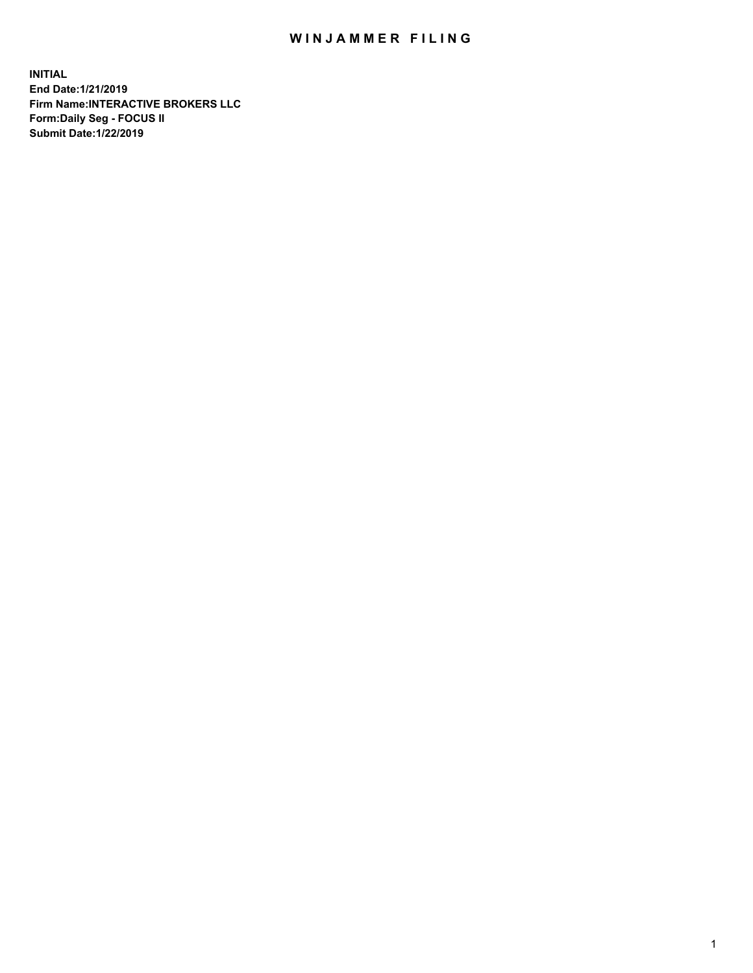## WIN JAMMER FILING

**INITIAL End Date:1/21/2019 Firm Name:INTERACTIVE BROKERS LLC Form:Daily Seg - FOCUS II Submit Date:1/22/2019**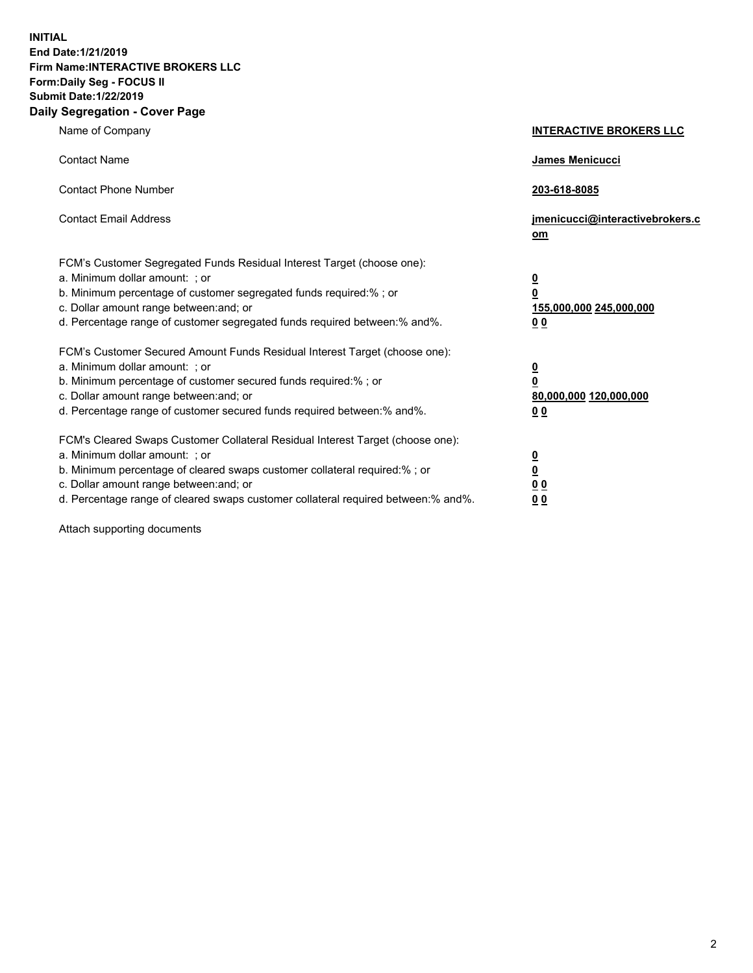**INITIAL End Date:1/21/2019 Firm Name:INTERACTIVE BROKERS LLC Form:Daily Seg - FOCUS II Submit Date:1/22/2019 Daily Segregation - Cover Page**

| Name of Company                                                                                                                                                                                                                                                                                                                | <b>INTERACTIVE BROKERS LLC</b>                                                                  |
|--------------------------------------------------------------------------------------------------------------------------------------------------------------------------------------------------------------------------------------------------------------------------------------------------------------------------------|-------------------------------------------------------------------------------------------------|
| <b>Contact Name</b>                                                                                                                                                                                                                                                                                                            | <b>James Menicucci</b>                                                                          |
| <b>Contact Phone Number</b>                                                                                                                                                                                                                                                                                                    | 203-618-8085                                                                                    |
| <b>Contact Email Address</b>                                                                                                                                                                                                                                                                                                   | jmenicucci@interactivebrokers.c<br>$om$                                                         |
| FCM's Customer Segregated Funds Residual Interest Target (choose one):<br>a. Minimum dollar amount: ; or<br>b. Minimum percentage of customer segregated funds required:% ; or<br>c. Dollar amount range between: and; or<br>d. Percentage range of customer segregated funds required between:% and%.                         | $\overline{\mathbf{0}}$<br>$\overline{\mathbf{0}}$<br>155,000,000 245,000,000<br>0 <sub>0</sub> |
| FCM's Customer Secured Amount Funds Residual Interest Target (choose one):<br>a. Minimum dollar amount: ; or<br>b. Minimum percentage of customer secured funds required:%; or<br>c. Dollar amount range between: and; or<br>d. Percentage range of customer secured funds required between:% and%.                            | $\overline{\mathbf{0}}$<br>$\overline{\mathbf{0}}$<br>80,000,000 120,000,000<br>0 <sub>0</sub>  |
| FCM's Cleared Swaps Customer Collateral Residual Interest Target (choose one):<br>a. Minimum dollar amount: ; or<br>b. Minimum percentage of cleared swaps customer collateral required:% ; or<br>c. Dollar amount range between: and; or<br>d. Percentage range of cleared swaps customer collateral required between:% and%. | $\overline{\mathbf{0}}$<br>$\underline{\mathbf{0}}$<br>0 <sub>0</sub><br>00                     |

Attach supporting documents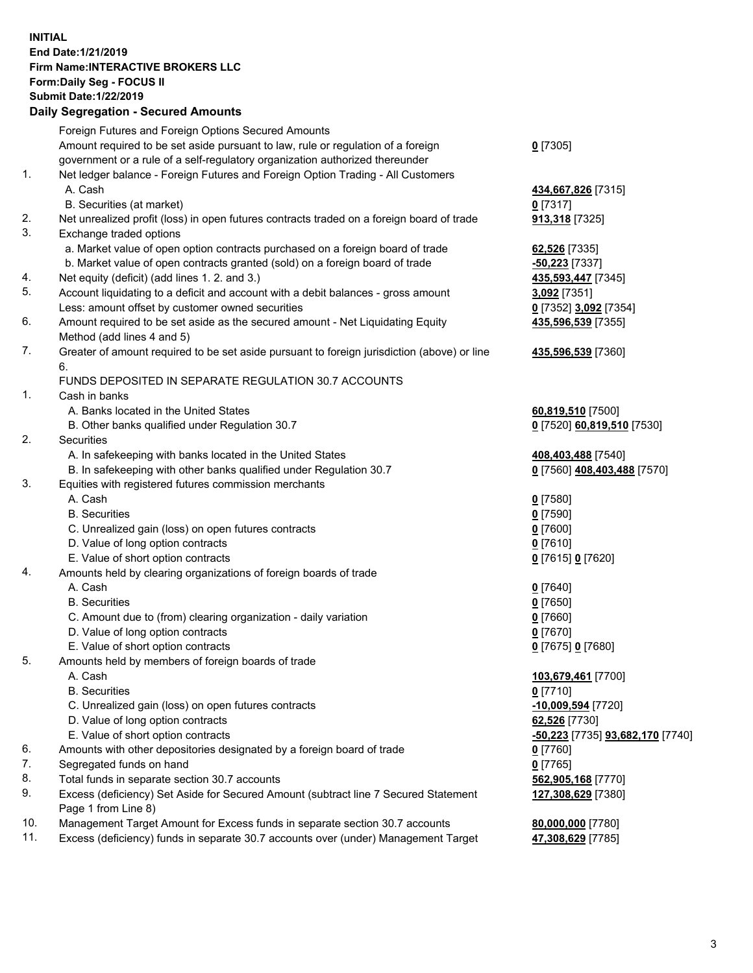## **INITIAL End Date:1/21/2019 Firm Name:INTERACTIVE BROKERS LLC Form:Daily Seg - FOCUS II Submit Date:1/22/2019 Daily Segregation - Secured Amounts**

|     | Daily Segregation - Secured Aniounts                                                                       |                                                 |
|-----|------------------------------------------------------------------------------------------------------------|-------------------------------------------------|
|     | Foreign Futures and Foreign Options Secured Amounts                                                        |                                                 |
|     | Amount required to be set aside pursuant to law, rule or regulation of a foreign                           | $0$ [7305]                                      |
|     | government or a rule of a self-regulatory organization authorized thereunder                               |                                                 |
| 1.  | Net ledger balance - Foreign Futures and Foreign Option Trading - All Customers                            |                                                 |
|     | A. Cash                                                                                                    | 434,667,826 [7315]                              |
|     | B. Securities (at market)                                                                                  | $0$ [7317]                                      |
| 2.  | Net unrealized profit (loss) in open futures contracts traded on a foreign board of trade                  | 913,318 [7325]                                  |
| 3.  | Exchange traded options                                                                                    |                                                 |
|     | a. Market value of open option contracts purchased on a foreign board of trade                             | 62,526 [7335]                                   |
|     | b. Market value of open contracts granted (sold) on a foreign board of trade                               | $-50,223$ [7337]                                |
| 4.  | Net equity (deficit) (add lines 1.2. and 3.)                                                               | 435,593,447 [7345]                              |
| 5.  | Account liquidating to a deficit and account with a debit balances - gross amount                          | 3,092 [7351]                                    |
|     | Less: amount offset by customer owned securities                                                           | 0 [7352] 3,092 [7354]                           |
| 6.  | Amount required to be set aside as the secured amount - Net Liquidating Equity                             | 435,596,539 [7355]                              |
|     | Method (add lines 4 and 5)                                                                                 |                                                 |
| 7.  | Greater of amount required to be set aside pursuant to foreign jurisdiction (above) or line                | 435,596,539 [7360]                              |
|     | 6.<br>FUNDS DEPOSITED IN SEPARATE REGULATION 30.7 ACCOUNTS                                                 |                                                 |
| 1.  | Cash in banks                                                                                              |                                                 |
|     | A. Banks located in the United States                                                                      |                                                 |
|     | B. Other banks qualified under Regulation 30.7                                                             | 60,819,510 [7500]<br>0 [7520] 60,819,510 [7530] |
| 2.  | Securities                                                                                                 |                                                 |
|     | A. In safekeeping with banks located in the United States                                                  | 408,403,488 [7540]                              |
|     | B. In safekeeping with other banks qualified under Regulation 30.7                                         | 0 [7560] 408,403,488 [7570]                     |
| 3.  | Equities with registered futures commission merchants                                                      |                                                 |
|     | A. Cash                                                                                                    | $0$ [7580]                                      |
|     | <b>B.</b> Securities                                                                                       | $0$ [7590]                                      |
|     | C. Unrealized gain (loss) on open futures contracts                                                        | $0$ [7600]                                      |
|     | D. Value of long option contracts                                                                          | $0$ [7610]                                      |
|     | E. Value of short option contracts                                                                         | 0 [7615] 0 [7620]                               |
| 4.  | Amounts held by clearing organizations of foreign boards of trade                                          |                                                 |
|     | A. Cash                                                                                                    | $0$ [7640]                                      |
|     | <b>B.</b> Securities                                                                                       | $0$ [7650]                                      |
|     | C. Amount due to (from) clearing organization - daily variation                                            | $0$ [7660]                                      |
|     | D. Value of long option contracts                                                                          | $0$ [7670]                                      |
|     | E. Value of short option contracts                                                                         | 0 [7675] 0 [7680]                               |
| 5.  | Amounts held by members of foreign boards of trade                                                         |                                                 |
|     | A. Cash                                                                                                    | 103,679,461 [7700]                              |
|     | <b>B.</b> Securities                                                                                       | $0$ [7710]                                      |
|     | C. Unrealized gain (loss) on open futures contracts                                                        | -10,009,594 [7720]                              |
|     | D. Value of long option contracts                                                                          | 62,526 [7730]                                   |
|     | E. Value of short option contracts                                                                         | -50,223 [7735] 93,682,170 [7740]                |
| 6.  | Amounts with other depositories designated by a foreign board of trade                                     | 0 [7760]                                        |
| 7.  | Segregated funds on hand                                                                                   | $0$ [7765]                                      |
| 8.  | Total funds in separate section 30.7 accounts                                                              | 562,905,168 [7770]                              |
| 9.  | Excess (deficiency) Set Aside for Secured Amount (subtract line 7 Secured Statement<br>Page 1 from Line 8) | 127,308,629 [7380]                              |
| 10. | Management Target Amount for Excess funds in separate section 30.7 accounts                                | 80,000,000 [7780]                               |
| 11. | Excess (deficiency) funds in separate 30.7 accounts over (under) Management Target                         | 47,308,629 [7785]                               |
|     |                                                                                                            |                                                 |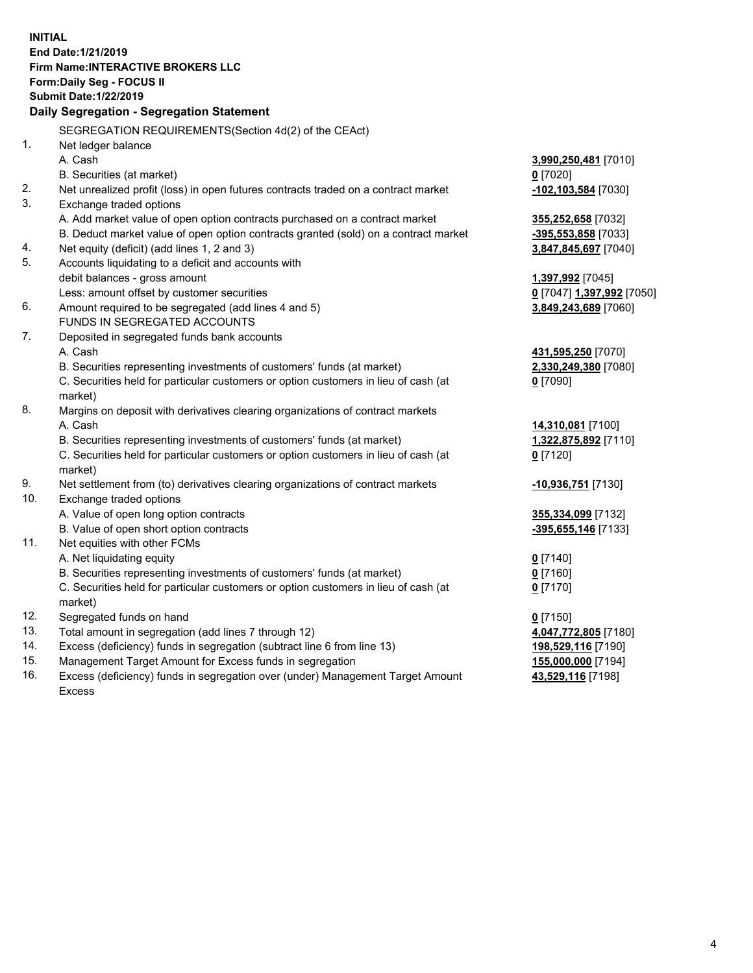**INITIAL End Date:1/21/2019 Firm Name:INTERACTIVE BROKERS LLC Form:Daily Seg - FOCUS II Submit Date:1/22/2019 Daily Segregation - Segregation Statement** SEGREGATION REQUIREMENTS(Section 4d(2) of the CEAct) 1. Net ledger balance A. Cash **3,990,250,481** [7010] B. Securities (at market) **0** [7020] 2. Net unrealized profit (loss) in open futures contracts traded on a contract market **-102,103,584** [7030] 3. Exchange traded options A. Add market value of open option contracts purchased on a contract market **355,252,658** [7032] B. Deduct market value of open option contracts granted (sold) on a contract market **-395,553,858** [7033] 4. Net equity (deficit) (add lines 1, 2 and 3) **3,847,845,697** [7040] 5. Accounts liquidating to a deficit and accounts with debit balances - gross amount **1,397,992** [7045] Less: amount offset by customer securities **0** [7047] **1,397,992** [7050] 6. Amount required to be segregated (add lines 4 and 5) **3,849,243,689** [7060] FUNDS IN SEGREGATED ACCOUNTS 7. Deposited in segregated funds bank accounts A. Cash **431,595,250** [7070] B. Securities representing investments of customers' funds (at market) **2,330,249,380** [7080] C. Securities held for particular customers or option customers in lieu of cash (at market) **0** [7090] 8. Margins on deposit with derivatives clearing organizations of contract markets A. Cash **14,310,081** [7100] B. Securities representing investments of customers' funds (at market) **1,322,875,892** [7110] C. Securities held for particular customers or option customers in lieu of cash (at market) **0** [7120] 9. Net settlement from (to) derivatives clearing organizations of contract markets **-10,936,751** [7130] 10. Exchange traded options A. Value of open long option contracts **355,334,099** [7132] B. Value of open short option contracts **-395,655,146** [7133] 11. Net equities with other FCMs A. Net liquidating equity **0** [7140] B. Securities representing investments of customers' funds (at market) **0** [7160] C. Securities held for particular customers or option customers in lieu of cash (at market) **0** [7170] 12. Segregated funds on hand **0** [7150] 13. Total amount in segregation (add lines 7 through 12) **4,047,772,805** [7180] 14. Excess (deficiency) funds in segregation (subtract line 6 from line 13) **198,529,116** [7190] 15. Management Target Amount for Excess funds in segregation **155,000,000** [7194] 16. Excess (deficiency) funds in segregation over (under) Management Target Amount **43,529,116** [7198]

Excess